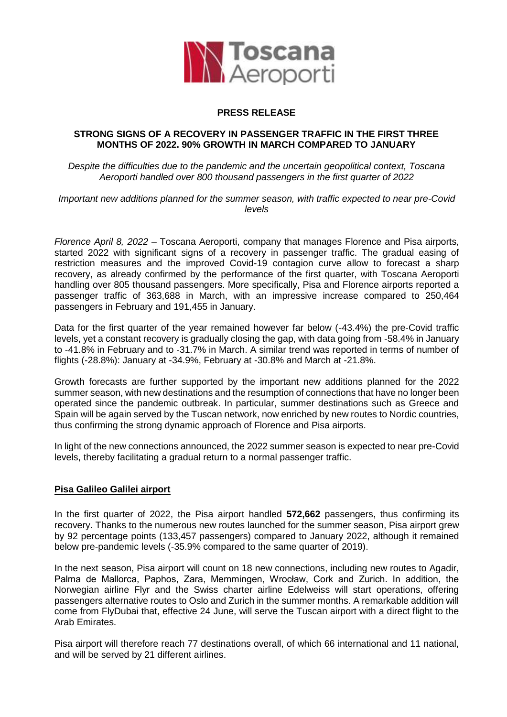

## **PRESS RELEASE**

## **STRONG SIGNS OF A RECOVERY IN PASSENGER TRAFFIC IN THE FIRST THREE MONTHS OF 2022. 90% GROWTH IN MARCH COMPARED TO JANUARY**

*Despite the difficulties due to the pandemic and the uncertain geopolitical context, Toscana Aeroporti handled over 800 thousand passengers in the first quarter of 2022*

*Important new additions planned for the summer season, with traffic expected to near pre-Covid levels*

*Florence April 8, 2022* – Toscana Aeroporti, company that manages Florence and Pisa airports, started 2022 with significant signs of a recovery in passenger traffic. The gradual easing of restriction measures and the improved Covid-19 contagion curve allow to forecast a sharp recovery, as already confirmed by the performance of the first quarter, with Toscana Aeroporti handling over 805 thousand passengers. More specifically, Pisa and Florence airports reported a passenger traffic of 363,688 in March, with an impressive increase compared to 250,464 passengers in February and 191,455 in January.

Data for the first quarter of the year remained however far below (-43.4%) the pre-Covid traffic levels, yet a constant recovery is gradually closing the gap, with data going from -58.4% in January to -41.8% in February and to -31.7% in March. A similar trend was reported in terms of number of flights (-28.8%): January at -34.9%, February at -30.8% and March at -21.8%.

Growth forecasts are further supported by the important new additions planned for the 2022 summer season, with new destinations and the resumption of connections that have no longer been operated since the pandemic outbreak. In particular, summer destinations such as Greece and Spain will be again served by the Tuscan network, now enriched by new routes to Nordic countries, thus confirming the strong dynamic approach of Florence and Pisa airports.

In light of the new connections announced, the 2022 summer season is expected to near pre-Covid levels, thereby facilitating a gradual return to a normal passenger traffic.

## **Pisa Galileo Galilei airport**

In the first quarter of 2022, the Pisa airport handled **572,662** passengers, thus confirming its recovery. Thanks to the numerous new routes launched for the summer season, Pisa airport grew by 92 percentage points (133,457 passengers) compared to January 2022, although it remained below pre-pandemic levels (-35.9% compared to the same quarter of 2019).

In the next season, Pisa airport will count on 18 new connections, including new routes to Agadir, Palma de Mallorca, Paphos, Zara, Memmingen, Wrocław, Cork and Zurich. In addition, the Norwegian airline Flyr and the Swiss charter airline Edelweiss will start operations, offering passengers alternative routes to Oslo and Zurich in the summer months. A remarkable addition will come from FlyDubai that, effective 24 June, will serve the Tuscan airport with a direct flight to the Arab Emirates.

Pisa airport will therefore reach 77 destinations overall, of which 66 international and 11 national, and will be served by 21 different airlines.